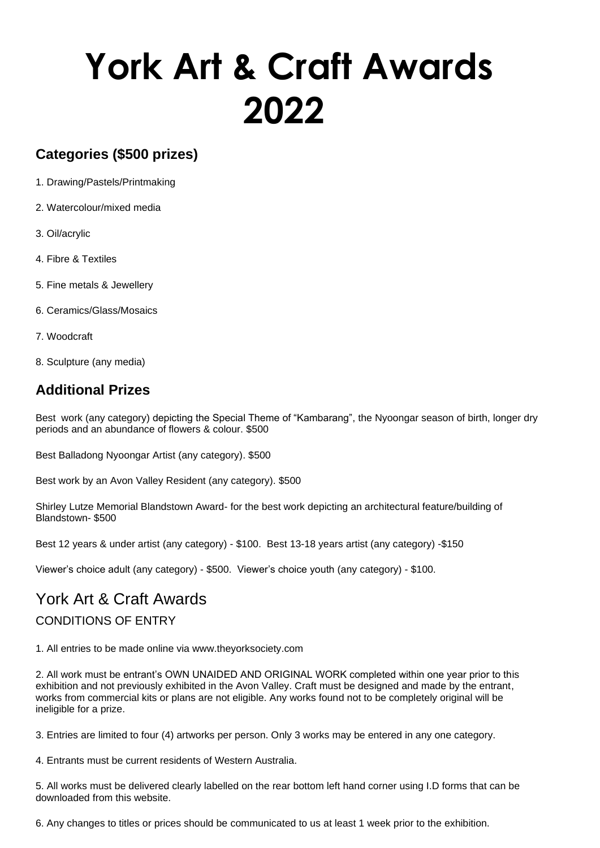# **York Art & Craft Awards 2022**

# **Categories (\$500 prizes)**

- 1. Drawing/Pastels/Printmaking
- 2. Watercolour/mixed media
- 3. Oil/acrylic
- 4. Fibre & Textiles
- 5. Fine metals & Jewellery
- 6. Ceramics/Glass/Mosaics
- 7. Woodcraft
- 8. Sculpture (any media)

# **Additional Prizes**

Best work (any category) depicting the Special Theme of "Kambarang", the Nyoongar season of birth, longer dry periods and an abundance of flowers & colour. \$500

Best Balladong Nyoongar Artist (any category). \$500

Best work by an Avon Valley Resident (any category). \$500

Shirley Lutze Memorial Blandstown Award- for the best work depicting an architectural feature/building of Blandstown- \$500

Best 12 years & under artist (any category) - \$100. Best 13-18 years artist (any category) -\$150

Viewer's choice adult (any category) - \$500. Viewer's choice youth (any category) - \$100.

# York Art & Craft Awards

## CONDITIONS OF ENTRY

1. All entries to be made online via www.theyorksociety.com

2. All work must be entrant's OWN UNAIDED AND ORIGINAL WORK completed within one year prior to this exhibition and not previously exhibited in the Avon Valley. Craft must be designed and made by the entrant, works from commercial kits or plans are not eligible. Any works found not to be completely original will be ineligible for a prize.

3. Entries are limited to four (4) artworks per person. Only 3 works may be entered in any one category.

4. Entrants must be current residents of Western Australia.

5. All works must be delivered clearly labelled on the rear bottom left hand corner using I.D forms that can be downloaded from this website.

6. Any changes to titles or prices should be communicated to us at least 1 week prior to the exhibition.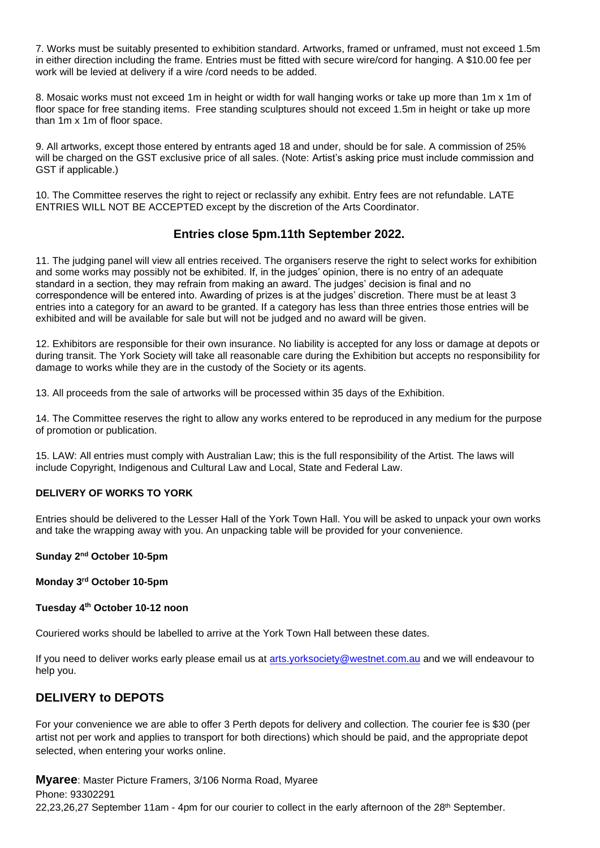7. Works must be suitably presented to exhibition standard. Artworks, framed or unframed, must not exceed 1.5m in either direction including the frame. Entries must be fitted with secure wire/cord for hanging. A \$10.00 fee per work will be levied at delivery if a wire /cord needs to be added.

8. Mosaic works must not exceed 1m in height or width for wall hanging works or take up more than 1m x 1m of floor space for free standing items. Free standing sculptures should not exceed 1.5m in height or take up more than 1m x 1m of floor space.

9. All artworks, except those entered by entrants aged 18 and under, should be for sale. A commission of 25% will be charged on the GST exclusive price of all sales. (Note: Artist's asking price must include commission and GST if applicable.)

10. The Committee reserves the right to reject or reclassify any exhibit. Entry fees are not refundable. LATE ENTRIES WILL NOT BE ACCEPTED except by the discretion of the Arts Coordinator.

### **Entries close 5pm.11th September 2022.**

11. The judging panel will view all entries received. The organisers reserve the right to select works for exhibition and some works may possibly not be exhibited. If, in the judges' opinion, there is no entry of an adequate standard in a section, they may refrain from making an award. The judges' decision is final and no correspondence will be entered into. Awarding of prizes is at the judges' discretion. There must be at least 3 entries into a category for an award to be granted. If a category has less than three entries those entries will be exhibited and will be available for sale but will not be judged and no award will be given.

12. Exhibitors are responsible for their own insurance. No liability is accepted for any loss or damage at depots or during transit. The York Society will take all reasonable care during the Exhibition but accepts no responsibility for damage to works while they are in the custody of the Society or its agents.

13. All proceeds from the sale of artworks will be processed within 35 days of the Exhibition.

14. The Committee reserves the right to allow any works entered to be reproduced in any medium for the purpose of promotion or publication.

15. LAW: All entries must comply with Australian Law; this is the full responsibility of the Artist. The laws will include Copyright, Indigenous and Cultural Law and Local, State and Federal Law.

#### **DELIVERY OF WORKS TO YORK**

Entries should be delivered to the Lesser Hall of the York Town Hall. You will be asked to unpack your own works and take the wrapping away with you. An unpacking table will be provided for your convenience.

#### **Sunday 2nd October 10-5pm**

#### **Monday 3rd October 10-5pm**

#### **Tuesday 4th October 10-12 noon**

Couriered works should be labelled to arrive at the York Town Hall between these dates.

If you need to deliver works early please email us at [arts.yorksociety@westnet.com.au](mailto:arts.yorksociety@westnet.com.au) and we will endeavour to help you.

## **DELIVERY to DEPOTS**

For your convenience we are able to offer 3 Perth depots for delivery and collection. The courier fee is \$30 (per artist not per work and applies to transport for both directions) which should be paid, and the appropriate depot selected, when entering your works online.

**Myaree**: Master Picture Framers, 3/106 Norma Road, Myaree Phone: 93302291 22,23,26,27 September 11am - 4pm for our courier to collect in the early afternoon of the 28<sup>th</sup> September.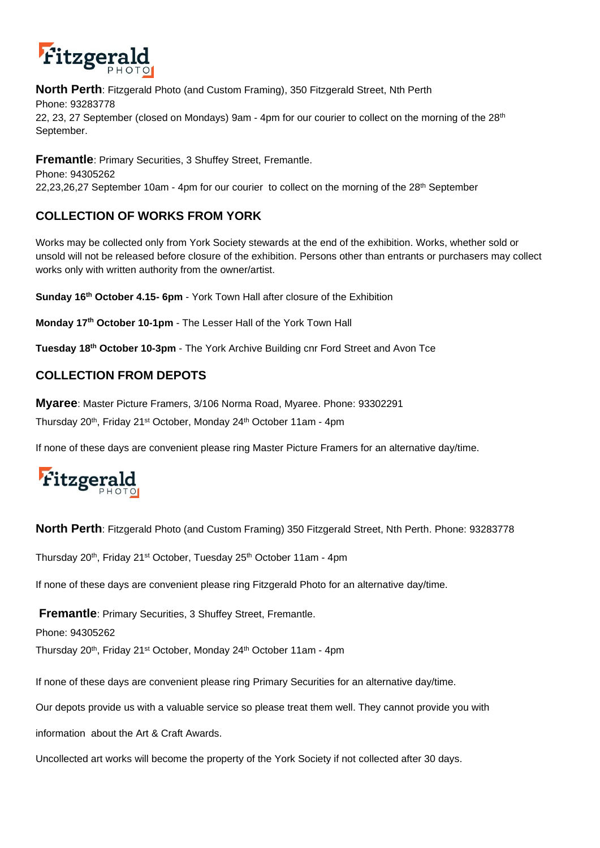

**North Perth**: Fitzgerald Photo (and Custom Framing), 350 Fitzgerald Street, Nth Perth Phone: 93283778 22, 23, 27 September (closed on Mondays) 9am - 4pm for our courier to collect on the morning of the  $28<sup>th</sup>$ September.

**Fremantle**: Primary Securities, 3 Shuffey Street, Fremantle. Phone: 94305262 22,23,26,27 September 10am - 4pm for our courier to collect on the morning of the 28<sup>th</sup> September

# **COLLECTION OF WORKS FROM YORK**

Works may be collected only from York Society stewards at the end of the exhibition. Works, whether sold or unsold will not be released before closure of the exhibition. Persons other than entrants or purchasers may collect works only with written authority from the owner/artist.

**Sunday 16th October 4.15- 6pm** - York Town Hall after closure of the Exhibition

**Monday 17th October 10-1pm** - The Lesser Hall of the York Town Hall

**Tuesday 18th October 10-3pm** - The York Archive Building cnr Ford Street and Avon Tce

## **COLLECTION FROM DEPOTS**

**Myaree**: Master Picture Framers, 3/106 Norma Road, Myaree. Phone: 93302291 Thursday 20th, Friday 21st October, Monday 24th October 11am - 4pm

If none of these days are convenient please ring Master Picture Framers for an alternative day/time.



**North Perth**: Fitzgerald Photo (and Custom Framing) 350 Fitzgerald Street, Nth Perth. Phone: 93283778

Thursday 20<sup>th</sup>, Friday 21<sup>st</sup> October, Tuesday 25<sup>th</sup> October 11am - 4pm

If none of these days are convenient please ring Fitzgerald Photo for an alternative day/time.

**Fremantle**: Primary Securities, 3 Shuffey Street, Fremantle.

Phone: 94305262

Thursday 20<sup>th</sup>, Friday 21<sup>st</sup> October, Monday 24<sup>th</sup> October 11am - 4pm

If none of these days are convenient please ring Primary Securities for an alternative day/time.

Our depots provide us with a valuable service so please treat them well. They cannot provide you with

information about the Art & Craft Awards.

Uncollected art works will become the property of the York Society if not collected after 30 days.